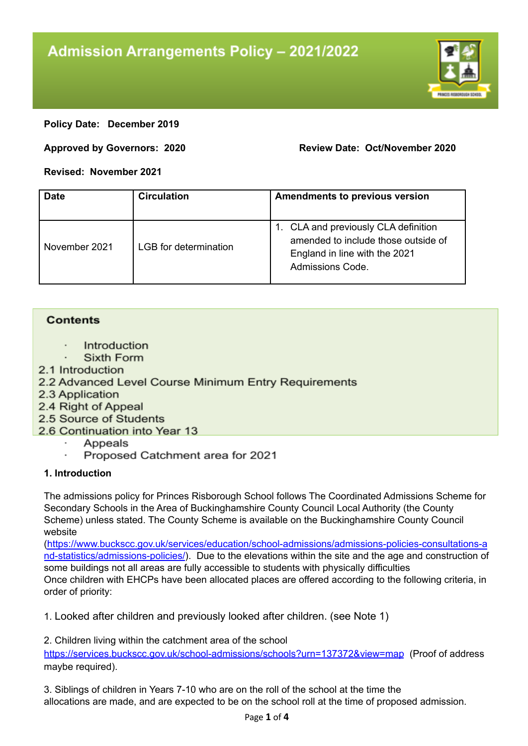

### **Policy Date: December 2019**

#### **Approved by Governors: 2020 Review Date: Oct/November 2020**

## **Revised: November 2021**

| <b>Date</b>   | <b>Circulation</b>    | <b>Amendments to previous version</b>                                                                                            |
|---------------|-----------------------|----------------------------------------------------------------------------------------------------------------------------------|
| November 2021 | LGB for determination | 1. CLA and previously CLA definition<br>amended to include those outside of<br>England in line with the 2021<br>Admissions Code. |

## **Contents**

- Introduction
- Sixth Form
- 2.1 Introduction
- 2.2 Advanced Level Course Minimum Entry Requirements
- 2.3 Application
- 2.4 Right of Appeal
- 2.5 Source of Students
- 2.6 Continuation into Year 13
	- Appeals
	- Proposed Catchment area for 2021

# **1. Introduction**

The admissions policy for Princes Risborough School follows The Coordinated Admissions Scheme for Secondary Schools in the Area of Buckinghamshire County Council Local Authority (the County Scheme) unless stated. The County Scheme is available on the Buckinghamshire County Council website

[\(https://www.buckscc.gov.uk/services/education/school-admissions/admissions-policies-consultations-a](https://www.buckscc.gov.uk/services/education/school-admissions/admissions-policies-consultations-and-statistics/admissions-policies/) [nd-statistics/admissions-policies/](https://www.buckscc.gov.uk/services/education/school-admissions/admissions-policies-consultations-and-statistics/admissions-policies/)). Due to the elevations within the site and the age and construction of some buildings not all areas are fully accessible to students with physically difficulties Once children with EHCPs have been allocated places are offered according to the following criteria, in order of priority:

1. Looked after children and previously looked after children. (see Note 1)

2. Children living within the catchment area of the school

<https://services.buckscc.gov.uk/school-admissions/schools?urn=137372&view=map> (Proof of address maybe required).

3. Siblings of children in Years 7-10 who are on the roll of the school at the time the allocations are made, and are expected to be on the school roll at the time of proposed admission.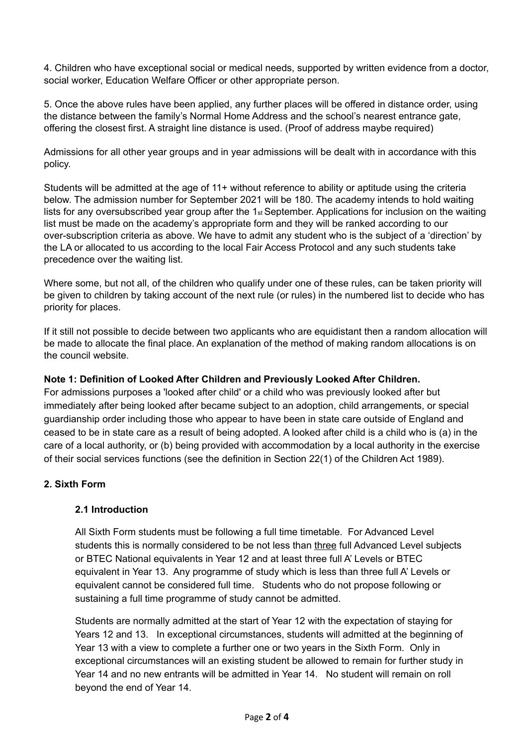4. Children who have exceptional social or medical needs, supported by written evidence from a doctor, social worker, Education Welfare Officer or other appropriate person.

5. Once the above rules have been applied, any further places will be offered in distance order, using the distance between the family's Normal Home Address and the school's nearest entrance gate, offering the closest first. A straight line distance is used. (Proof of address maybe required)

Admissions for all other year groups and in year admissions will be dealt with in accordance with this policy.

Students will be admitted at the age of 11+ without reference to ability or aptitude using the criteria below. The admission number for September 2021 will be 180. The academy intends to hold waiting lists for any oversubscribed year group after the 1st September. Applications for inclusion on the waiting list must be made on the academy's appropriate form and they will be ranked according to our over-subscription criteria as above. We have to admit any student who is the subject of a 'direction' by the LA or allocated to us according to the local Fair Access Protocol and any such students take precedence over the waiting list.

Where some, but not all, of the children who qualify under one of these rules, can be taken priority will be given to children by taking account of the next rule (or rules) in the numbered list to decide who has priority for places.

If it still not possible to decide between two applicants who are equidistant then a random allocation will be made to allocate the final place. An explanation of the method of making random allocations is on the council website.

## **Note 1: Definition of Looked After Children and Previously Looked After Children.**

For admissions purposes a 'looked after child' or a child who was previously looked after but immediately after being looked after became subject to an adoption, child arrangements, or special guardianship order including those who appear to have been in state care outside of England and ceased to be in state care as a result of being adopted. A looked after child is a child who is (a) in the care of a local authority, or (b) being provided with accommodation by a local authority in the exercise of their social services functions (see the definition in Section 22(1) of the Children Act 1989).

## **2. Sixth Form**

#### **2.1 Introduction**

All Sixth Form students must be following a full time timetable. For Advanced Level students this is normally considered to be not less than three full Advanced Level subjects or BTEC National equivalents in Year 12 and at least three full A' Levels or BTEC equivalent in Year 13. Any programme of study which is less than three full A' Levels or equivalent cannot be considered full time. Students who do not propose following or sustaining a full time programme of study cannot be admitted.

Students are normally admitted at the start of Year 12 with the expectation of staying for Years 12 and 13. In exceptional circumstances, students will admitted at the beginning of Year 13 with a view to complete a further one or two years in the Sixth Form. Only in exceptional circumstances will an existing student be allowed to remain for further study in Year 14 and no new entrants will be admitted in Year 14. No student will remain on roll beyond the end of Year 14.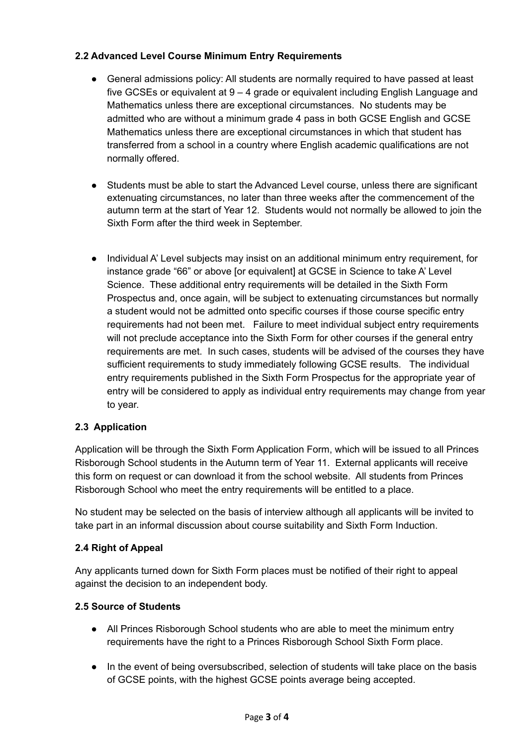# **2.2 Advanced Level Course Minimum Entry Requirements**

- General admissions policy: All students are normally required to have passed at least five GCSEs or equivalent at 9 – 4 grade or equivalent including English Language and Mathematics unless there are exceptional circumstances. No students may be admitted who are without a minimum grade 4 pass in both GCSE English and GCSE Mathematics unless there are exceptional circumstances in which that student has transferred from a school in a country where English academic qualifications are not normally offered.
- Students must be able to start the Advanced Level course, unless there are significant extenuating circumstances, no later than three weeks after the commencement of the autumn term at the start of Year 12. Students would not normally be allowed to join the Sixth Form after the third week in September.
- Individual A' Level subjects may insist on an additional minimum entry requirement, for instance grade "66" or above [or equivalent] at GCSE in Science to take A' Level Science. These additional entry requirements will be detailed in the Sixth Form Prospectus and, once again, will be subject to extenuating circumstances but normally a student would not be admitted onto specific courses if those course specific entry requirements had not been met. Failure to meet individual subject entry requirements will not preclude acceptance into the Sixth Form for other courses if the general entry requirements are met. In such cases, students will be advised of the courses they have sufficient requirements to study immediately following GCSE results. The individual entry requirements published in the Sixth Form Prospectus for the appropriate year of entry will be considered to apply as individual entry requirements may change from year to year.

# **2.3 Application**

Application will be through the Sixth Form Application Form, which will be issued to all Princes Risborough School students in the Autumn term of Year 11. External applicants will receive this form on request or can download it from the school website. All students from Princes Risborough School who meet the entry requirements will be entitled to a place.

No student may be selected on the basis of interview although all applicants will be invited to take part in an informal discussion about course suitability and Sixth Form Induction.

# **2.4 Right of Appeal**

Any applicants turned down for Sixth Form places must be notified of their right to appeal against the decision to an independent body.

## **2.5 Source of Students**

- All Princes Risborough School students who are able to meet the minimum entry requirements have the right to a Princes Risborough School Sixth Form place.
- In the event of being oversubscribed, selection of students will take place on the basis of GCSE points, with the highest GCSE points average being accepted.